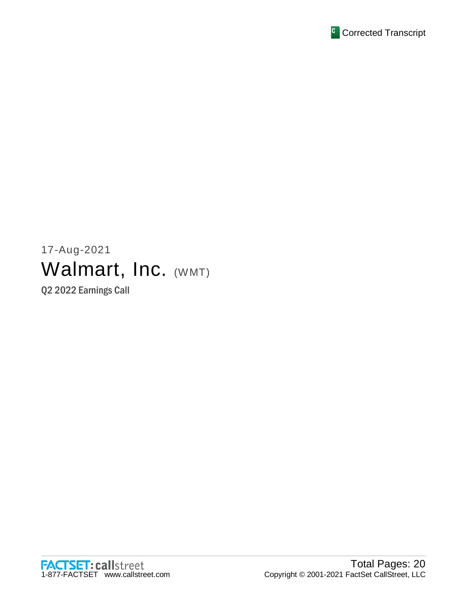

# 17-Aug-2021 Walmart, Inc. (WMT)

Q2 2022 Earnings Call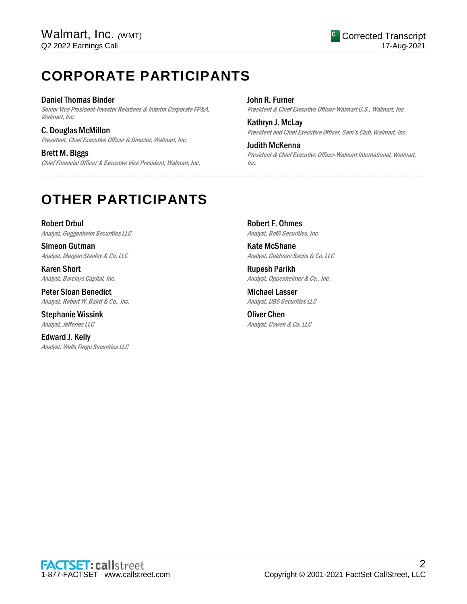# **CORPORATE PARTICIPANTS**

Daniel Thomas Binder Senior Vice President-Investor Relations & Interim Corporate FP&A, Walmart, Inc.

C. Douglas McMillon President, Chief Executive Officer & Director, Walmart, Inc.

Brett M. Biggs Chief Financial Officer & Executive Vice President, Walmart, Inc. John R. Furner President & Chief Executive Officer-Walmart U.S., Walmart, Inc.

Kathryn J. McLay President and Chief Executive Officer, Sam's Club, Walmart, Inc.

Judith McKenna President & Chief Executive Officer-Walmart International, Walmart, Inc.

# **OTHER PARTICIPANTS**

Robert Drbul Analyst, Guggenheim Securities LLC

Simeon Gutman Analyst, Morgan Stanley & Co. LLC

Karen Short Analyst, Barclays Capital, Inc.

Peter Sloan Benedict Analyst, Robert W. Baird & Co., Inc.

Stephanie Wissink Analyst, Jefferies LLC

Edward J. Kelly Analyst, Wells Fargo Securities LLC Robert F. Ohmes Analyst, BofA Securities, Inc.

.....................................................................................................................................................................................................................................................................

Kate McShane Analyst, Goldman Sachs & Co. LLC

Rupesh Parikh Analyst, Oppenheimer & Co., Inc.

Michael Lasser Analyst, UBS Securities LLC

Oliver Chen Analyst, Cowen & Co. LLC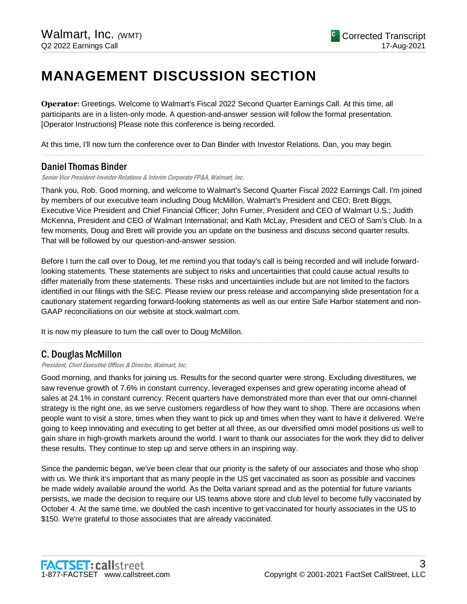# **MANAGEMENT DISCUSSION SECTION**

**Operator**: Greetings. Welcome to Walmart's Fiscal 2022 Second Quarter Earnings Call. At this time, all participants are in a listen-only mode. A question-and-answer session will follow the formal presentation. [Operator Instructions] Please note this conference is being recorded.

At this time, I'll now turn the conference over to Dan Binder with Investor Relations. Dan, you may begin.

# Daniel Thomas Binder

Senior Vice President-Investor Relations & Interim Corporate FP&A, Walmart, Inc.

Thank you, Rob. Good morning, and welcome to Walmart's Second Quarter Fiscal 2022 Earnings Call. I'm joined by members of our executive team including Doug McMillon, Walmart's President and CEO; Brett Biggs, Executive Vice President and Chief Financial Officer; John Furner, President and CEO of Walmart U.S.; Judith McKenna, President and CEO of Walmart International; and Kath McLay, President and CEO of Sam's Club. In a few moments, Doug and Brett will provide you an update on the business and discuss second quarter results. That will be followed by our question-and-answer session.

.....................................................................................................................................................................................................................................................................

Before I turn the call over to Doug, let me remind you that today's call is being recorded and will include forwardlooking statements. These statements are subject to risks and uncertainties that could cause actual results to differ materially from these statements. These risks and uncertainties include but are not limited to the factors identified in our filings with the SEC. Please review our press release and accompanying slide presentation for a cautionary statement regarding forward-looking statements as well as our entire Safe Harbor statement and non-GAAP reconciliations on our website at stock.walmart.com.

.....................................................................................................................................................................................................................................................................

It is now my pleasure to turn the call over to Doug McMillon.

# C. Douglas McMillon

President, Chief Executive Officer & Director, Walmart, Inc.

Good morning, and thanks for joining us. Results for the second quarter were strong. Excluding divestitures, we saw revenue growth of 7.6% in constant currency, leveraged expenses and grew operating income ahead of sales at 24.1% in constant currency. Recent quarters have demonstrated more than ever that our omni-channel strategy is the right one, as we serve customers regardless of how they want to shop. There are occasions when people want to visit a store, times when they want to pick up and times when they want to have it delivered. We're going to keep innovating and executing to get better at all three, as our diversified omni model positions us well to gain share in high-growth markets around the world. I want to thank our associates for the work they did to deliver these results. They continue to step up and serve others in an inspiring way.

Since the pandemic began, we've been clear that our priority is the safety of our associates and those who shop with us. We think it's important that as many people in the US get vaccinated as soon as possible and vaccines be made widely available around the world. As the Delta variant spread and as the potential for future variants persists, we made the decision to require our US teams above store and club level to become fully vaccinated by October 4. At the same time, we doubled the cash incentive to get vaccinated for hourly associates in the US to \$150. We're grateful to those associates that are already vaccinated.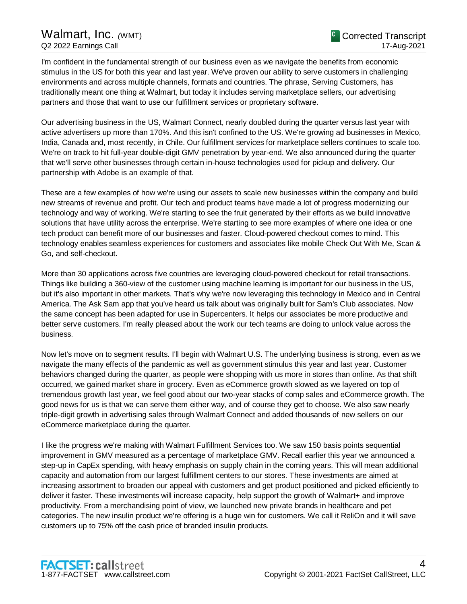I'm confident in the fundamental strength of our business even as we navigate the benefits from economic stimulus in the US for both this year and last year. We've proven our ability to serve customers in challenging environments and across multiple channels, formats and countries. The phrase, Serving Customers, has traditionally meant one thing at Walmart, but today it includes serving marketplace sellers, our advertising partners and those that want to use our fulfillment services or proprietary software.

Our advertising business in the US, Walmart Connect, nearly doubled during the quarter versus last year with active advertisers up more than 170%. And this isn't confined to the US. We're growing ad businesses in Mexico, India, Canada and, most recently, in Chile. Our fulfillment services for marketplace sellers continues to scale too. We're on track to hit full-year double-digit GMV penetration by year-end. We also announced during the quarter that we'll serve other businesses through certain in-house technologies used for pickup and delivery. Our partnership with Adobe is an example of that.

These are a few examples of how we're using our assets to scale new businesses within the company and build new streams of revenue and profit. Our tech and product teams have made a lot of progress modernizing our technology and way of working. We're starting to see the fruit generated by their efforts as we build innovative solutions that have utility across the enterprise. We're starting to see more examples of where one idea or one tech product can benefit more of our businesses and faster. Cloud-powered checkout comes to mind. This technology enables seamless experiences for customers and associates like mobile Check Out With Me, Scan & Go, and self-checkout.

More than 30 applications across five countries are leveraging cloud-powered checkout for retail transactions. Things like building a 360-view of the customer using machine learning is important for our business in the US, but it's also important in other markets. That's why we're now leveraging this technology in Mexico and in Central America. The Ask Sam app that you've heard us talk about was originally built for Sam's Club associates. Now the same concept has been adapted for use in Supercenters. It helps our associates be more productive and better serve customers. I'm really pleased about the work our tech teams are doing to unlock value across the business.

Now let's move on to segment results. I'll begin with Walmart U.S. The underlying business is strong, even as we navigate the many effects of the pandemic as well as government stimulus this year and last year. Customer behaviors changed during the quarter, as people were shopping with us more in stores than online. As that shift occurred, we gained market share in grocery. Even as eCommerce growth slowed as we layered on top of tremendous growth last year, we feel good about our two-year stacks of comp sales and eCommerce growth. The good news for us is that we can serve them either way, and of course they get to choose. We also saw nearly triple-digit growth in advertising sales through Walmart Connect and added thousands of new sellers on our eCommerce marketplace during the quarter.

I like the progress we're making with Walmart Fulfillment Services too. We saw 150 basis points sequential improvement in GMV measured as a percentage of marketplace GMV. Recall earlier this year we announced a step-up in CapEx spending, with heavy emphasis on supply chain in the coming years. This will mean additional capacity and automation from our largest fulfillment centers to our stores. These investments are aimed at increasing assortment to broaden our appeal with customers and get product positioned and picked efficiently to deliver it faster. These investments will increase capacity, help support the growth of Walmart+ and improve productivity. From a merchandising point of view, we launched new private brands in healthcare and pet categories. The new insulin product we're offering is a huge win for customers. We call it ReliOn and it will save customers up to 75% off the cash price of branded insulin products.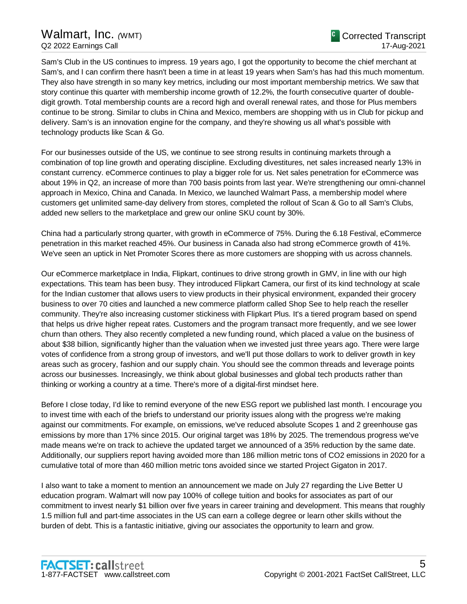Sam's Club in the US continues to impress. 19 years ago, I got the opportunity to become the chief merchant at Sam's, and I can confirm there hasn't been a time in at least 19 years when Sam's has had this much momentum. They also have strength in so many key metrics, including our most important membership metrics. We saw that story continue this quarter with membership income growth of 12.2%, the fourth consecutive quarter of doubledigit growth. Total membership counts are a record high and overall renewal rates, and those for Plus members continue to be strong. Similar to clubs in China and Mexico, members are shopping with us in Club for pickup and delivery. Sam's is an innovation engine for the company, and they're showing us all what's possible with technology products like Scan & Go.

For our businesses outside of the US, we continue to see strong results in continuing markets through a combination of top line growth and operating discipline. Excluding divestitures, net sales increased nearly 13% in constant currency. eCommerce continues to play a bigger role for us. Net sales penetration for eCommerce was about 19% in Q2, an increase of more than 700 basis points from last year. We're strengthening our omni-channel approach in Mexico, China and Canada. In Mexico, we launched Walmart Pass, a membership model where customers get unlimited same-day delivery from stores, completed the rollout of Scan & Go to all Sam's Clubs, added new sellers to the marketplace and grew our online SKU count by 30%.

China had a particularly strong quarter, with growth in eCommerce of 75%. During the 6.18 Festival, eCommerce penetration in this market reached 45%. Our business in Canada also had strong eCommerce growth of 41%. We've seen an uptick in Net Promoter Scores there as more customers are shopping with us across channels.

Our eCommerce marketplace in India, Flipkart, continues to drive strong growth in GMV, in line with our high expectations. This team has been busy. They introduced Flipkart Camera, our first of its kind technology at scale for the Indian customer that allows users to view products in their physical environment, expanded their grocery business to over 70 cities and launched a new commerce platform called Shop See to help reach the reseller community. They're also increasing customer stickiness with Flipkart Plus. It's a tiered program based on spend that helps us drive higher repeat rates. Customers and the program transact more frequently, and we see lower churn than others. They also recently completed a new funding round, which placed a value on the business of about \$38 billion, significantly higher than the valuation when we invested just three years ago. There were large votes of confidence from a strong group of investors, and we'll put those dollars to work to deliver growth in key areas such as grocery, fashion and our supply chain. You should see the common threads and leverage points across our businesses. Increasingly, we think about global businesses and global tech products rather than thinking or working a country at a time. There's more of a digital-first mindset here.

Before I close today, I'd like to remind everyone of the new ESG report we published last month. I encourage you to invest time with each of the briefs to understand our priority issues along with the progress we're making against our commitments. For example, on emissions, we've reduced absolute Scopes 1 and 2 greenhouse gas emissions by more than 17% since 2015. Our original target was 18% by 2025. The tremendous progress we've made means we're on track to achieve the updated target we announced of a 35% reduction by the same date. Additionally, our suppliers report having avoided more than 186 million metric tons of CO2 emissions in 2020 for a cumulative total of more than 460 million metric tons avoided since we started Project Gigaton in 2017.

I also want to take a moment to mention an announcement we made on July 27 regarding the Live Better U education program. Walmart will now pay 100% of college tuition and books for associates as part of our commitment to invest nearly \$1 billion over five years in career training and development. This means that roughly 1.5 million full and part-time associates in the US can earn a college degree or learn other skills without the burden of debt. This is a fantastic initiative, giving our associates the opportunity to learn and grow.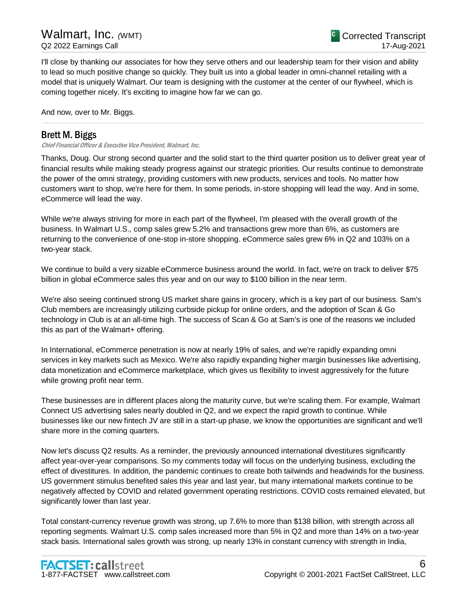I'll close by thanking our associates for how they serve others and our leadership team for their vision and ability to lead so much positive change so quickly. They built us into a global leader in omni-channel retailing with a model that is uniquely Walmart. Our team is designing with the customer at the center of our flywheel, which is coming together nicely. It's exciting to imagine how far we can go.

And now, over to Mr. Biggs.

# Brett M. Biggs

Chief Financial Officer & Executive Vice President, Walmart, Inc.

Thanks, Doug. Our strong second quarter and the solid start to the third quarter position us to deliver great year of financial results while making steady progress against our strategic priorities. Our results continue to demonstrate the power of the omni strategy, providing customers with new products, services and tools. No matter how customers want to shop, we're here for them. In some periods, in-store shopping will lead the way. And in some, eCommerce will lead the way.

.....................................................................................................................................................................................................................................................................

While we're always striving for more in each part of the flywheel, I'm pleased with the overall growth of the business. In Walmart U.S., comp sales grew 5.2% and transactions grew more than 6%, as customers are returning to the convenience of one-stop in-store shopping. eCommerce sales grew 6% in Q2 and 103% on a two-year stack.

We continue to build a very sizable eCommerce business around the world. In fact, we're on track to deliver \$75 billion in global eCommerce sales this year and on our way to \$100 billion in the near term.

We're also seeing continued strong US market share gains in grocery, which is a key part of our business. Sam's Club members are increasingly utilizing curbside pickup for online orders, and the adoption of Scan & Go technology in Club is at an all-time high. The success of Scan & Go at Sam's is one of the reasons we included this as part of the Walmart+ offering.

In International, eCommerce penetration is now at nearly 19% of sales, and we're rapidly expanding omni services in key markets such as Mexico. We're also rapidly expanding higher margin businesses like advertising, data monetization and eCommerce marketplace, which gives us flexibility to invest aggressively for the future while growing profit near term.

These businesses are in different places along the maturity curve, but we're scaling them. For example, Walmart Connect US advertising sales nearly doubled in Q2, and we expect the rapid growth to continue. While businesses like our new fintech JV are still in a start-up phase, we know the opportunities are significant and we'll share more in the coming quarters.

Now let's discuss Q2 results. As a reminder, the previously announced international divestitures significantly affect year-over-year comparisons. So my comments today will focus on the underlying business, excluding the effect of divestitures. In addition, the pandemic continues to create both tailwinds and headwinds for the business. US government stimulus benefited sales this year and last year, but many international markets continue to be negatively affected by COVID and related government operating restrictions. COVID costs remained elevated, but significantly lower than last year.

Total constant-currency revenue growth was strong, up 7.6% to more than \$138 billion, with strength across all reporting segments. Walmart U.S. comp sales increased more than 5% in Q2 and more than 14% on a two-year stack basis. International sales growth was strong, up nearly 13% in constant currency with strength in India,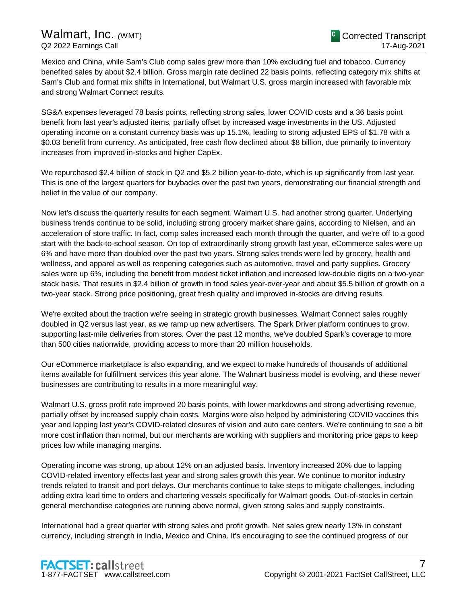Mexico and China, while Sam's Club comp sales grew more than 10% excluding fuel and tobacco. Currency benefited sales by about \$2.4 billion. Gross margin rate declined 22 basis points, reflecting category mix shifts at Sam's Club and format mix shifts in International, but Walmart U.S. gross margin increased with favorable mix and strong Walmart Connect results.

SG&A expenses leveraged 78 basis points, reflecting strong sales, lower COVID costs and a 36 basis point benefit from last year's adjusted items, partially offset by increased wage investments in the US. Adjusted operating income on a constant currency basis was up 15.1%, leading to strong adjusted EPS of \$1.78 with a \$0.03 benefit from currency. As anticipated, free cash flow declined about \$8 billion, due primarily to inventory increases from improved in-stocks and higher CapEx.

We repurchased \$2.4 billion of stock in Q2 and \$5.2 billion year-to-date, which is up significantly from last year. This is one of the largest quarters for buybacks over the past two years, demonstrating our financial strength and belief in the value of our company.

Now let's discuss the quarterly results for each segment. Walmart U.S. had another strong quarter. Underlying business trends continue to be solid, including strong grocery market share gains, according to Nielsen, and an acceleration of store traffic. In fact, comp sales increased each month through the quarter, and we're off to a good start with the back-to-school season. On top of extraordinarily strong growth last year, eCommerce sales were up 6% and have more than doubled over the past two years. Strong sales trends were led by grocery, health and wellness, and apparel as well as reopening categories such as automotive, travel and party supplies. Grocery sales were up 6%, including the benefit from modest ticket inflation and increased low-double digits on a two-year stack basis. That results in \$2.4 billion of growth in food sales year-over-year and about \$5.5 billion of growth on a two-year stack. Strong price positioning, great fresh quality and improved in-stocks are driving results.

We're excited about the traction we're seeing in strategic growth businesses. Walmart Connect sales roughly doubled in Q2 versus last year, as we ramp up new advertisers. The Spark Driver platform continues to grow, supporting last-mile deliveries from stores. Over the past 12 months, we've doubled Spark's coverage to more than 500 cities nationwide, providing access to more than 20 million households.

Our eCommerce marketplace is also expanding, and we expect to make hundreds of thousands of additional items available for fulfillment services this year alone. The Walmart business model is evolving, and these newer businesses are contributing to results in a more meaningful way.

Walmart U.S. gross profit rate improved 20 basis points, with lower markdowns and strong advertising revenue, partially offset by increased supply chain costs. Margins were also helped by administering COVID vaccines this year and lapping last year's COVID-related closures of vision and auto care centers. We're continuing to see a bit more cost inflation than normal, but our merchants are working with suppliers and monitoring price gaps to keep prices low while managing margins.

Operating income was strong, up about 12% on an adjusted basis. Inventory increased 20% due to lapping COVID-related inventory effects last year and strong sales growth this year. We continue to monitor industry trends related to transit and port delays. Our merchants continue to take steps to mitigate challenges, including adding extra lead time to orders and chartering vessels specifically for Walmart goods. Out-of-stocks in certain general merchandise categories are running above normal, given strong sales and supply constraints.

International had a great quarter with strong sales and profit growth. Net sales grew nearly 13% in constant currency, including strength in India, Mexico and China. It's encouraging to see the continued progress of our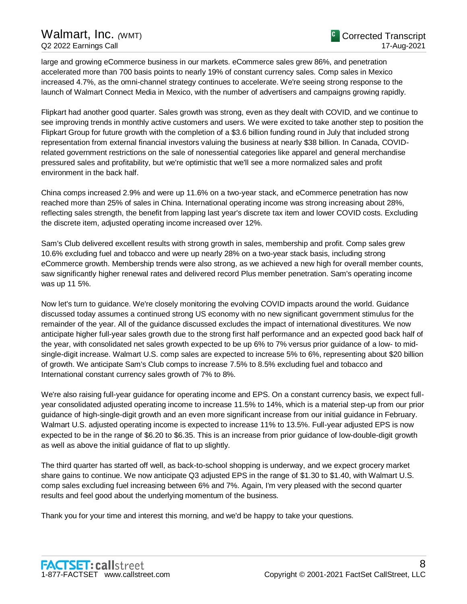large and growing eCommerce business in our markets. eCommerce sales grew 86%, and penetration accelerated more than 700 basis points to nearly 19% of constant currency sales. Comp sales in Mexico increased 4.7%, as the omni-channel strategy continues to accelerate. We're seeing strong response to the launch of Walmart Connect Media in Mexico, with the number of advertisers and campaigns growing rapidly.

Flipkart had another good quarter. Sales growth was strong, even as they dealt with COVID, and we continue to see improving trends in monthly active customers and users. We were excited to take another step to position the Flipkart Group for future growth with the completion of a \$3.6 billion funding round in July that included strong representation from external financial investors valuing the business at nearly \$38 billion. In Canada, COVIDrelated government restrictions on the sale of nonessential categories like apparel and general merchandise pressured sales and profitability, but we're optimistic that we'll see a more normalized sales and profit environment in the back half.

China comps increased 2.9% and were up 11.6% on a two-year stack, and eCommerce penetration has now reached more than 25% of sales in China. International operating income was strong increasing about 28%, reflecting sales strength, the benefit from lapping last year's discrete tax item and lower COVID costs. Excluding the discrete item, adjusted operating income increased over 12%.

Sam's Club delivered excellent results with strong growth in sales, membership and profit. Comp sales grew 10.6% excluding fuel and tobacco and were up nearly 28% on a two-year stack basis, including strong eCommerce growth. Membership trends were also strong, as we achieved a new high for overall member counts, saw significantly higher renewal rates and delivered record Plus member penetration. Sam's operating income was up 11 5%.

Now let's turn to guidance. We're closely monitoring the evolving COVID impacts around the world. Guidance discussed today assumes a continued strong US economy with no new significant government stimulus for the remainder of the year. All of the guidance discussed excludes the impact of international divestitures. We now anticipate higher full-year sales growth due to the strong first half performance and an expected good back half of the year, with consolidated net sales growth expected to be up 6% to 7% versus prior guidance of a low- to midsingle-digit increase. Walmart U.S. comp sales are expected to increase 5% to 6%, representing about \$20 billion of growth. We anticipate Sam's Club comps to increase 7.5% to 8.5% excluding fuel and tobacco and International constant currency sales growth of 7% to 8%.

We're also raising full-year guidance for operating income and EPS. On a constant currency basis, we expect fullyear consolidated adjusted operating income to increase 11.5% to 14%, which is a material step-up from our prior guidance of high-single-digit growth and an even more significant increase from our initial guidance in February. Walmart U.S. adjusted operating income is expected to increase 11% to 13.5%. Full-year adjusted EPS is now expected to be in the range of \$6.20 to \$6.35. This is an increase from prior guidance of low-double-digit growth as well as above the initial guidance of flat to up slightly.

The third quarter has started off well, as back-to-school shopping is underway, and we expect grocery market share gains to continue. We now anticipate Q3 adjusted EPS in the range of \$1.30 to \$1.40, with Walmart U.S. comp sales excluding fuel increasing between 6% and 7%. Again, I'm very pleased with the second quarter results and feel good about the underlying momentum of the business.

Thank you for your time and interest this morning, and we'd be happy to take your questions.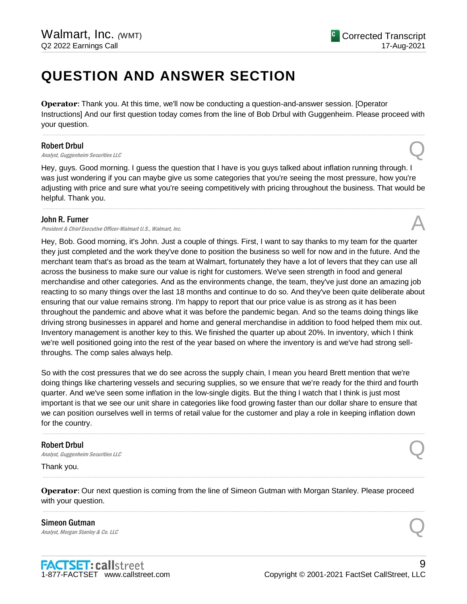# **QUESTION AND ANSWER SECTION**

**Operator**: Thank you. At this time, we'll now be conducting a question-and-answer session. [Operator Instructions] And our first question today comes from the line of Bob Drbul with Guggenheim. Please proceed with your question.

.....................................................................................................................................................................................................................................................................

### Robert Drbul

**Robert Drbul**<br>Analyst, Guggenheim Securities LLC

Hey, guys. Good morning. I guess the question that I have is you guys talked about inflation running through. I was just wondering if you can maybe give us some categories that you're seeing the most pressure, how you're adjusting with price and sure what you're seeing competitively with pricing throughout the business. That would be helpful. Thank you.

.....................................................................................................................................................................................................................................................................

### John R. Furner

**John R. Furner**<br>President & Chief Executive Officer-Walmart U.S., Walmart, Inc.  $\mathcal{A}$ 

Hey, Bob. Good morning, it's John. Just a couple of things. First, I want to say thanks to my team for the quarter they just completed and the work they've done to position the business so well for now and in the future. And the merchant team that's as broad as the team at Walmart, fortunately they have a lot of levers that they can use all across the business to make sure our value is right for customers. We've seen strength in food and general merchandise and other categories. And as the environments change, the team, they've just done an amazing job reacting to so many things over the last 18 months and continue to do so. And they've been quite deliberate about ensuring that our value remains strong. I'm happy to report that our price value is as strong as it has been throughout the pandemic and above what it was before the pandemic began. And so the teams doing things like driving strong businesses in apparel and home and general merchandise in addition to food helped them mix out. Inventory management is another key to this. We finished the quarter up about 20%. In inventory, which I think we're well positioned going into the rest of the year based on where the inventory is and we've had strong sellthroughs. The comp sales always help.

So with the cost pressures that we do see across the supply chain, I mean you heard Brett mention that we're doing things like chartering vessels and securing supplies, so we ensure that we're ready for the third and fourth quarter. And we've seen some inflation in the low-single digits. But the thing I watch that I think is just most important is that we see our unit share in categories like food growing faster than our dollar share to ensure that we can position ourselves well in terms of retail value for the customer and play a role in keeping inflation down for the country.

.....................................................................................................................................................................................................................................................................

.....................................................................................................................................................................................................................................................................

.....................................................................................................................................................................................................................................................................

## Robert Drbul

**Robert Drbul**<br>Analyst, Guggenheim Securities LLC

#### Thank you.

**Operator**: Our next question is coming from the line of Simeon Gutman with Morgan Stanley. Please proceed with your question.

Simeon Gutman **Simeon Gutman**<br>Analyst, Morgan Stanley & Co. LLC  $\bigotimes$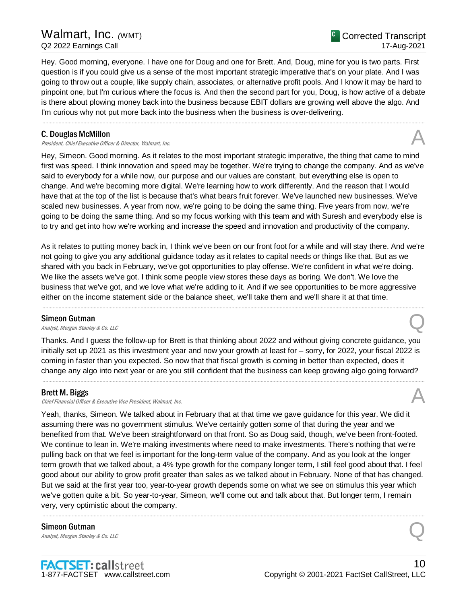Hey. Good morning, everyone. I have one for Doug and one for Brett. And, Doug, mine for you is two parts. First question is if you could give us a sense of the most important strategic imperative that's on your plate. And I was going to throw out a couple, like supply chain, associates, or alternative profit pools. And I know it may be hard to pinpoint one, but I'm curious where the focus is. And then the second part for you, Doug, is how active of a debate is there about plowing money back into the business because EBIT dollars are growing well above the algo. And I'm curious why not put more back into the business when the business is over-delivering.

.....................................................................................................................................................................................................................................................................

# C. Douglas McMillon

President, Chief Executive Officer & Director, Walmart, Inc.

Hey, Simeon. Good morning. As it relates to the most important strategic imperative, the thing that came to mind first was speed. I think innovation and speed may be together. We're trying to change the company. And as we've said to everybody for a while now, our purpose and our values are constant, but everything else is open to change. And we're becoming more digital. We're learning how to work differently. And the reason that I would have that at the top of the list is because that's what bears fruit forever. We've launched new businesses. We've scaled new businesses. A year from now, we're going to be doing the same thing. Five years from now, we're going to be doing the same thing. And so my focus working with this team and with Suresh and everybody else is to try and get into how we're working and increase the speed and innovation and productivity of the company.

As it relates to putting money back in, I think we've been on our front foot for a while and will stay there. And we're not going to give you any additional guidance today as it relates to capital needs or things like that. But as we shared with you back in February, we've got opportunities to play offense. We're confident in what we're doing. We like the assets we've got. I think some people view stores these days as boring. We don't. We love the business that we've got, and we love what we're adding to it. And if we see opportunities to be more aggressive either on the income statement side or the balance sheet, we'll take them and we'll share it at that time.

.....................................................................................................................................................................................................................................................................

## Simeon Gutman

**Simeon Gutman**<br>Analyst, Morgan Stanley & Co. LLC  $\bigotimes$ 

Thanks. And I guess the follow-up for Brett is that thinking about 2022 and without giving concrete guidance, you initially set up 2021 as this investment year and now your growth at least for – sorry, for 2022, your fiscal 2022 is coming in faster than you expected. So now that that fiscal growth is coming in better than expected, does it change any algo into next year or are you still confident that the business can keep growing algo going forward?

.....................................................................................................................................................................................................................................................................

## Brett M. Biggs

Chief Financial Officer & Executive Vice President, Walmart, Inc.

Yeah, thanks, Simeon. We talked about in February that at that time we gave guidance for this year. We did it assuming there was no government stimulus. We've certainly gotten some of that during the year and we benefited from that. We've been straightforward on that front. So as Doug said, though, we've been front-footed. We continue to lean in. We're making investments where need to make investments. There's nothing that we're pulling back on that we feel is important for the long-term value of the company. And as you look at the longer term growth that we talked about, a 4% type growth for the company longer term, I still feel good about that. I feel good about our ability to grow profit greater than sales as we talked about in February. None of that has changed. But we said at the first year too, year-to-year growth depends some on what we see on stimulus this year which we've gotten quite a bit. So year-to-year, Simeon, we'll come out and talk about that. But longer term, I remain very, very optimistic about the company.

.....................................................................................................................................................................................................................................................................

Simeon Gutman **Simeon Gutman**<br>Analyst, Morgan Stanley & Co. LLC  $\bigotimes$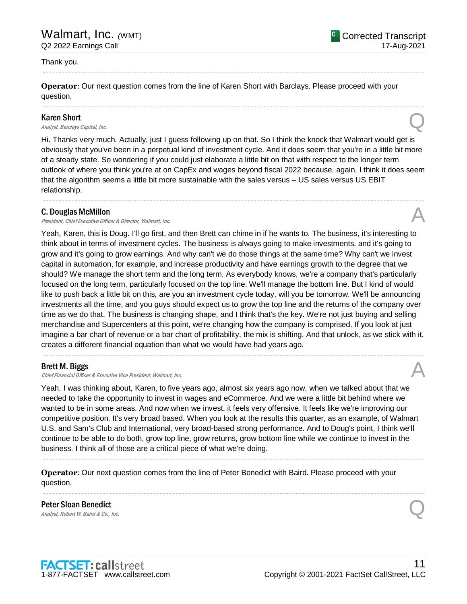#### Thank you.

**Operator**: Our next question comes from the line of Karen Short with Barclays. Please proceed with your question.

.....................................................................................................................................................................................................................................................................

.....................................................................................................................................................................................................................................................................

### Karen Short

**Karen Short**<br>Analyst, Barclays Capital, Inc.  $\bigotimes$ 

Hi. Thanks very much. Actually, just I guess following up on that. So I think the knock that Walmart would get is obviously that you've been in a perpetual kind of investment cycle. And it does seem that you're in a little bit more of a steady state. So wondering if you could just elaborate a little bit on that with respect to the longer term outlook of where you think you're at on CapEx and wages beyond fiscal 2022 because, again, I think it does seem that the algorithm seems a little bit more sustainable with the sales versus – US sales versus US EBIT relationship.

.....................................................................................................................................................................................................................................................................

### C. Douglas McMillon

**C. Douglas McMillon**<br>President, Chief Executive Officer & Director, Walmart, Inc.  $\mathcal{A}$ 

Yeah, Karen, this is Doug. I'll go first, and then Brett can chime in if he wants to. The business, it's interesting to think about in terms of investment cycles. The business is always going to make investments, and it's going to grow and it's going to grow earnings. And why can't we do those things at the same time? Why can't we invest capital in automation, for example, and increase productivity and have earnings growth to the degree that we should? We manage the short term and the long term. As everybody knows, we're a company that's particularly focused on the long term, particularly focused on the top line. We'll manage the bottom line. But I kind of would like to push back a little bit on this, are you an investment cycle today, will you be tomorrow. We'll be announcing investments all the time, and you guys should expect us to grow the top line and the returns of the company over time as we do that. The business is changing shape, and I think that's the key. We're not just buying and selling merchandise and Supercenters at this point, we're changing how the company is comprised. If you look at just imagine a bar chart of revenue or a bar chart of profitability, the mix is shifting. And that unlock, as we stick with it, creates a different financial equation than what we would have had years ago.

.....................................................................................................................................................................................................................................................................

#### Brett M. Biggs

Chief Financial Officer & Executive Vice President, Walmart, Inc.

Yeah, I was thinking about, Karen, to five years ago, almost six years ago now, when we talked about that we needed to take the opportunity to invest in wages and eCommerce. And we were a little bit behind where we wanted to be in some areas. And now when we invest, it feels very offensive. It feels like we're improving our competitive position. It's very broad based. When you look at the results this quarter, as an example, of Walmart U.S. and Sam's Club and International, very broad-based strong performance. And to Doug's point, I think we'll continue to be able to do both, grow top line, grow returns, grow bottom line while we continue to invest in the business. I think all of those are a critical piece of what we're doing.

.....................................................................................................................................................................................................................................................................

.....................................................................................................................................................................................................................................................................

**Operator**: Our next question comes from the line of Peter Benedict with Baird. Please proceed with your question.

Peter Sloan Benedict **Peter Sloan Benedict**<br>Analyst, Robert W. Baird & Co., Inc. Quality Reserves Analyst, Robert W. Baird & Co., Inc.





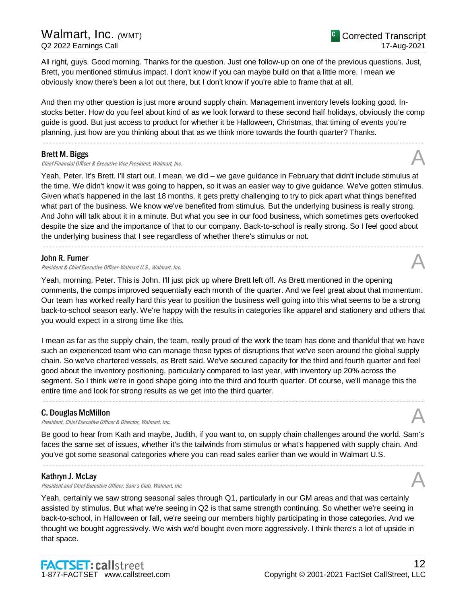All right, guys. Good morning. Thanks for the question. Just one follow-up on one of the previous questions. Just, Brett, you mentioned stimulus impact. I don't know if you can maybe build on that a little more. I mean we obviously know there's been a lot out there, but I don't know if you're able to frame that at all.

And then my other question is just more around supply chain. Management inventory levels looking good. Instocks better. How do you feel about kind of as we look forward to these second half holidays, obviously the comp guide is good. But just access to product for whether it be Halloween, Christmas, that timing of events you're planning, just how are you thinking about that as we think more towards the fourth quarter? Thanks.

.....................................................................................................................................................................................................................................................................

### Brett M. Biggs

Chief Financial Officer & Executive Vice President, Walmart, Inc.

Yeah, Peter. It's Brett. I'll start out. I mean, we did – we gave guidance in February that didn't include stimulus at the time. We didn't know it was going to happen, so it was an easier way to give guidance. We've gotten stimulus. Given what's happened in the last 18 months, it gets pretty challenging to try to pick apart what things benefited what part of the business. We know we've benefited from stimulus. But the underlying business is really strong. And John will talk about it in a minute. But what you see in our food business, which sometimes gets overlooked despite the size and the importance of that to our company. Back-to-school is really strong. So I feel good about the underlying business that I see regardless of whether there's stimulus or not.

.....................................................................................................................................................................................................................................................................

# John R. Furner

President & Chief Executive Officer-Walmart U.S., Walmart, Inc.

Yeah, morning, Peter. This is John. I'll just pick up where Brett left off. As Brett mentioned in the opening comments, the comps improved sequentially each month of the quarter. And we feel great about that momentum. Our team has worked really hard this year to position the business well going into this what seems to be a strong back-to-school season early. We're happy with the results in categories like apparel and stationery and others that you would expect in a strong time like this.

I mean as far as the supply chain, the team, really proud of the work the team has done and thankful that we have such an experienced team who can manage these types of disruptions that we've seen around the global supply chain. So we've chartered vessels, as Brett said. We've secured capacity for the third and fourth quarter and feel good about the inventory positioning, particularly compared to last year, with inventory up 20% across the segment. So I think we're in good shape going into the third and fourth quarter. Of course, we'll manage this the entire time and look for strong results as we get into the third quarter.

.....................................................................................................................................................................................................................................................................

# C. Douglas McMillon

**C. Douglas McMillon**<br>President, Chief Executive Officer & Director, Walmart, Inc.  $\mathcal{A}$ 

Be good to hear from Kath and maybe, Judith, if you want to, on supply chain challenges around the world. Sam's faces the same set of issues, whether it's the tailwinds from stimulus or what's happened with supply chain. And you've got some seasonal categories where you can read sales earlier than we would in Walmart U.S.

.....................................................................................................................................................................................................................................................................

# Kathryn J. McLay

President and Chief Executive Officer, Sam's Club, Walmart, Inc.

Yeah, certainly we saw strong seasonal sales through Q1, particularly in our GM areas and that was certainly assisted by stimulus. But what we're seeing in Q2 is that same strength continuing. So whether we're seeing in back-to-school, in Halloween or fall, we're seeing our members highly participating in those categories. And we thought we bought aggressively. We wish we'd bought even more aggressively. I think there's a lot of upside in that space.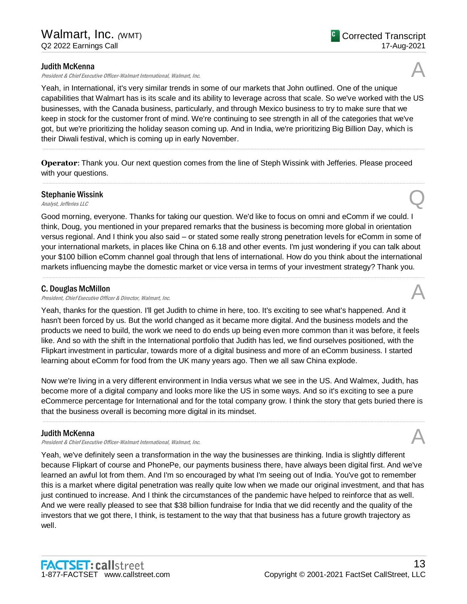## Judith McKenna

President & Chief Executive Officer-Walmart International, Walmart, Inc.

Yeah, in International, it's very similar trends in some of our markets that John outlined. One of the unique capabilities that Walmart has is its scale and its ability to leverage across that scale. So we've worked with the US businesses, with the Canada business, particularly, and through Mexico business to try to make sure that we keep in stock for the customer front of mind. We're continuing to see strength in all of the categories that we've got, but we're prioritizing the holiday season coming up. And in India, we're prioritizing Big Billion Day, which is their Diwali festival, which is coming up in early November.

.....................................................................................................................................................................................................................................................................

.....................................................................................................................................................................................................................................................................

**Operator**: Thank you. Our next question comes from the line of Steph Wissink with Jefferies. Please proceed with your questions.

# Stephanie Wissink Stephanie Wissink<br>Analyst, Jefferies LLC

Good morning, everyone. Thanks for taking our question. We'd like to focus on omni and eComm if we could. I think, Doug, you mentioned in your prepared remarks that the business is becoming more global in orientation versus regional. And I think you also said – or stated some really strong penetration levels for eComm in some of your international markets, in places like China on 6.18 and other events. I'm just wondering if you can talk about your \$100 billion eComm channel goal through that lens of international. How do you think about the international markets influencing maybe the domestic market or vice versa in terms of your investment strategy? Thank you.

.....................................................................................................................................................................................................................................................................

## C. Douglas McMillon

President, Chief Executive Officer & Director, Walmart, Inc.

Yeah, thanks for the question. I'll get Judith to chime in here, too. It's exciting to see what's happened. And it hasn't been forced by us. But the world changed as it became more digital. And the business models and the products we need to build, the work we need to do ends up being even more common than it was before, it feels like. And so with the shift in the International portfolio that Judith has led, we find ourselves positioned, with the Flipkart investment in particular, towards more of a digital business and more of an eComm business. I started learning about eComm for food from the UK many years ago. Then we all saw China explode.

Now we're living in a very different environment in India versus what we see in the US. And Walmex, Judith, has become more of a digital company and looks more like the US in some ways. And so it's exciting to see a pure eCommerce percentage for International and for the total company grow. I think the story that gets buried there is that the business overall is becoming more digital in its mindset.

.....................................................................................................................................................................................................................................................................

## Judith McKenna

President & Chief Executive Officer-Walmart International, Walmart, Inc.

Yeah, we've definitely seen a transformation in the way the businesses are thinking. India is slightly different because Flipkart of course and PhonePe, our payments business there, have always been digital first. And we've learned an awful lot from them. And I'm so encouraged by what I'm seeing out of India. You've got to remember this is a market where digital penetration was really quite low when we made our original investment, and that has just continued to increase. And I think the circumstances of the pandemic have helped to reinforce that as well. And we were really pleased to see that \$38 billion fundraise for India that we did recently and the quality of the investors that we got there, I think, is testament to the way that that business has a future growth trajectory as well.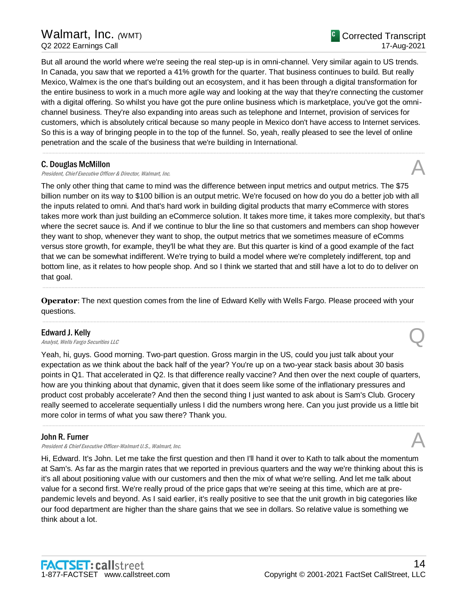But all around the world where we're seeing the real step-up is in omni-channel. Very similar again to US trends. In Canada, you saw that we reported a 41% growth for the quarter. That business continues to build. But really Mexico, Walmex is the one that's building out an ecosystem, and it has been through a digital transformation for the entire business to work in a much more agile way and looking at the way that they're connecting the customer with a digital offering. So whilst you have got the pure online business which is marketplace, you've got the omnichannel business. They're also expanding into areas such as telephone and Internet, provision of services for customers, which is absolutely critical because so many people in Mexico don't have access to Internet services. So this is a way of bringing people in to the top of the funnel. So, yeah, really pleased to see the level of online penetration and the scale of the business that we're building in International.

.....................................................................................................................................................................................................................................................................

#### C. Douglas McMillon

President, Chief Executive Officer & Director, Walmart, Inc.

The only other thing that came to mind was the difference between input metrics and output metrics. The \$75 billion number on its way to \$100 billion is an output metric. We're focused on how do you do a better job with all the inputs related to omni. And that's hard work in building digital products that marry eCommerce with stores takes more work than just building an eCommerce solution. It takes more time, it takes more complexity, but that's where the secret sauce is. And if we continue to blur the line so that customers and members can shop however they want to shop, whenever they want to shop, the output metrics that we sometimes measure of eComms versus store growth, for example, they'll be what they are. But this quarter is kind of a good example of the fact that we can be somewhat indifferent. We're trying to build a model where we're completely indifferent, top and bottom line, as it relates to how people shop. And so I think we started that and still have a lot to do to deliver on that goal.

**Operator**: The next question comes from the line of Edward Kelly with Wells Fargo. Please proceed with your questions.

.....................................................................................................................................................................................................................................................................

.....................................................................................................................................................................................................................................................................

# Edward J. Kelly

# **Edward J. Kelly**<br>Analyst, Wells Fargo Securities LLC  $\mathcal{Q}$

Yeah, hi, guys. Good morning. Two-part question. Gross margin in the US, could you just talk about your expectation as we think about the back half of the year? You're up on a two-year stack basis about 30 basis points in Q1. That accelerated in Q2. Is that difference really vaccine? And then over the next couple of quarters, how are you thinking about that dynamic, given that it does seem like some of the inflationary pressures and product cost probably accelerate? And then the second thing I just wanted to ask about is Sam's Club. Grocery really seemed to accelerate sequentially unless I did the numbers wrong here. Can you just provide us a little bit more color in terms of what you saw there? Thank you.

.....................................................................................................................................................................................................................................................................

## John R. Furner

President & Chief Executive Officer-Walmart U.S., Walmart, Inc.

Hi, Edward. It's John. Let me take the first question and then I'll hand it over to Kath to talk about the momentum at Sam's. As far as the margin rates that we reported in previous quarters and the way we're thinking about this is it's all about positioning value with our customers and then the mix of what we're selling. And let me talk about value for a second first. We're really proud of the price gaps that we're seeing at this time, which are at prepandemic levels and beyond. As I said earlier, it's really positive to see that the unit growth in big categories like our food department are higher than the share gains that we see in dollars. So relative value is something we think about a lot.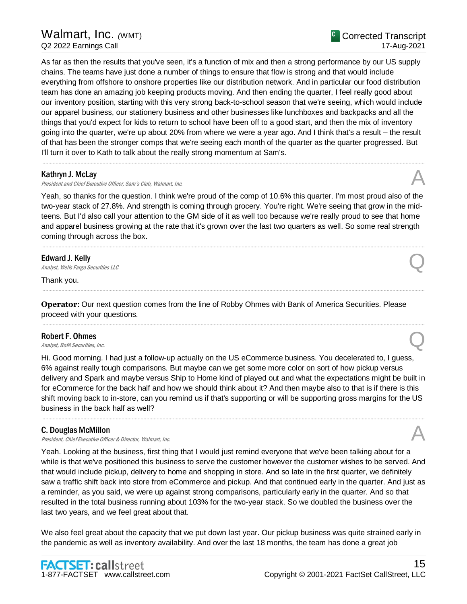As far as then the results that you've seen, it's a function of mix and then a strong performance by our US supply chains. The teams have just done a number of things to ensure that flow is strong and that would include everything from offshore to onshore properties like our distribution network. And in particular our food distribution team has done an amazing job keeping products moving. And then ending the quarter, I feel really good about our inventory position, starting with this very strong back-to-school season that we're seeing, which would include our apparel business, our stationery business and other businesses like lunchboxes and backpacks and all the things that you'd expect for kids to return to school have been off to a good start, and then the mix of inventory going into the quarter, we're up about 20% from where we were a year ago. And I think that's a result – the result of that has been the stronger comps that we're seeing each month of the quarter as the quarter progressed. But I'll turn it over to Kath to talk about the really strong momentum at Sam's.

.....................................................................................................................................................................................................................................................................

# Kathryn J. McLay

President and Chief Executive Officer, Sam's Club, Walmart, Inc.

Yeah, so thanks for the question. I think we're proud of the comp of 10.6% this quarter. I'm most proud also of the two-year stack of 27.8%. And strength is coming through grocery. You're right. We're seeing that grow in the midteens. But I'd also call your attention to the GM side of it as well too because we're really proud to see that home and apparel business growing at the rate that it's grown over the last two quarters as well. So some real strength coming through across the box.

.....................................................................................................................................................................................................................................................................

.....................................................................................................................................................................................................................................................................

.....................................................................................................................................................................................................................................................................

# Edward J. Kelly

**Edward J. Kelly**<br>Analyst, Wells Fargo Securities LLC

Thank you.

**Operator**: Our next question comes from the line of Robby Ohmes with Bank of America Securities. Please proceed with your questions.

# Robert F. Ohmes **Robert F. Ohmes**<br>Analyst, BofA Securities, Inc.  $\bigotimes$

Hi. Good morning. I had just a follow-up actually on the US eCommerce business. You decelerated to, I guess, 6% against really tough comparisons. But maybe can we get some more color on sort of how pickup versus delivery and Spark and maybe versus Ship to Home kind of played out and what the expectations might be built in for eCommerce for the back half and how we should think about it? And then maybe also to that is if there is this shift moving back to in-store, can you remind us if that's supporting or will be supporting gross margins for the US business in the back half as well?

.....................................................................................................................................................................................................................................................................

# C. Douglas McMillon

President, Chief Executive Officer & Director, Walmart, Inc.

Yeah. Looking at the business, first thing that I would just remind everyone that we've been talking about for a while is that we've positioned this business to serve the customer however the customer wishes to be served. And that would include pickup, delivery to home and shopping in store. And so late in the first quarter, we definitely saw a traffic shift back into store from eCommerce and pickup. And that continued early in the quarter. And just as a reminder, as you said, we were up against strong comparisons, particularly early in the quarter. And so that resulted in the total business running about 103% for the two-year stack. So we doubled the business over the last two years, and we feel great about that.

We also feel great about the capacity that we put down last year. Our pickup business was quite strained early in the pandemic as well as inventory availability. And over the last 18 months, the team has done a great job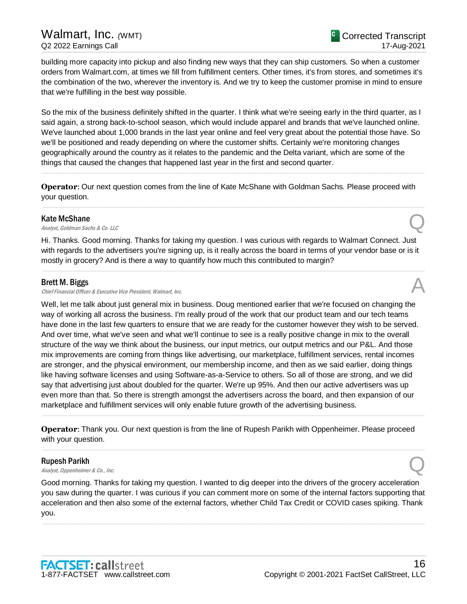building more capacity into pickup and also finding new ways that they can ship customers. So when a customer orders from Walmart.com, at times we fill from fulfillment centers. Other times, it's from stores, and sometimes it's the combination of the two, wherever the inventory is. And we try to keep the customer promise in mind to ensure that we're fulfilling in the best way possible.

So the mix of the business definitely shifted in the quarter. I think what we're seeing early in the third quarter, as I said again, a strong back-to-school season, which would include apparel and brands that we've launched online. We've launched about 1,000 brands in the last year online and feel very great about the potential those have. So we'll be positioned and ready depending on where the customer shifts. Certainly we're monitoring changes geographically around the country as it relates to the pandemic and the Delta variant, which are some of the things that caused the changes that happened last year in the first and second quarter.

**Operator**: Our next question comes from the line of Kate McShane with Goldman Sachs. Please proceed with your question.

.....................................................................................................................................................................................................................................................................

.....................................................................................................................................................................................................................................................................

### Kate McShane

**Kate McShane**<br>Analyst, Goldman Sachs & Co. LLC Quarter of the Control of the Control of the Control of the Control of the Control of the Control of the Control of the Control of the Control of the Control of the Control

Hi. Thanks. Good morning. Thanks for taking my question. I was curious with regards to Walmart Connect. Just with regards to the advertisers you're signing up, is it really across the board in terms of your vendor base or is it mostly in grocery? And is there a way to quantify how much this contributed to margin?

.....................................................................................................................................................................................................................................................................

## Brett M. Biggs

**Brett M. Biggs**<br>Chief Financial Officer & Executive Vice President, Walmart, Inc. And Alta Chief Financial Officer & Executive Vice President, Walmart, Inc.

Well, let me talk about just general mix in business. Doug mentioned earlier that we're focused on changing the way of working all across the business. I'm really proud of the work that our product team and our tech teams have done in the last few quarters to ensure that we are ready for the customer however they wish to be served. And over time, what we've seen and what we'll continue to see is a really positive change in mix to the overall structure of the way we think about the business, our input metrics, our output metrics and our P&L. And those mix improvements are coming from things like advertising, our marketplace, fulfillment services, rental incomes are stronger, and the physical environment, our membership income, and then as we said earlier, doing things like having software licenses and using Software-as-a-Service to others. So all of those are strong, and we did say that advertising just about doubled for the quarter. We're up 95%. And then our active advertisers was up even more than that. So there is strength amongst the advertisers across the board, and then expansion of our marketplace and fulfillment services will only enable future growth of the advertising business.

**Operator**: Thank you. Our next question is from the line of Rupesh Parikh with Oppenheimer. Please proceed with your question.

.....................................................................................................................................................................................................................................................................

.....................................................................................................................................................................................................................................................................

## Rupesh Parikh

**Rupesh Parikh**<br>Analyst, Oppenheimer & Co., Inc.  $\bigotimes$ 

Good morning. Thanks for taking my question. I wanted to dig deeper into the drivers of the grocery acceleration you saw during the quarter. I was curious if you can comment more on some of the internal factors supporting that acceleration and then also some of the external factors, whether Child Tax Credit or COVID cases spiking. Thank you.

.....................................................................................................................................................................................................................................................................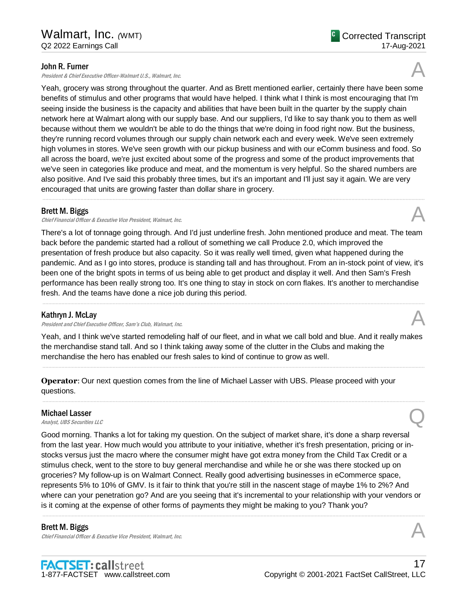## John R. Furner

President & Chief Executive Officer-Walmart U.S., Walmart, Inc.

Yeah, grocery was strong throughout the quarter. And as Brett mentioned earlier, certainly there have been some benefits of stimulus and other programs that would have helped. I think what I think is most encouraging that I'm seeing inside the business is the capacity and abilities that have been built in the quarter by the supply chain network here at Walmart along with our supply base. And our suppliers, I'd like to say thank you to them as well because without them we wouldn't be able to do the things that we're doing in food right now. But the business, they're running record volumes through our supply chain network each and every week. We've seen extremely high volumes in stores. We've seen growth with our pickup business and with our eComm business and food. So all across the board, we're just excited about some of the progress and some of the product improvements that we've seen in categories like produce and meat, and the momentum is very helpful. So the shared numbers are also positive. And I've said this probably three times, but it's an important and I'll just say it again. We are very encouraged that units are growing faster than dollar share in grocery.

.....................................................................................................................................................................................................................................................................

## Brett M. Biggs

**Brett M. Biggs**<br>Chief Financial Officer & Executive Vice President, Walmart, Inc. And the comparation of the chief Financial Officer & Executive Vice President, Walmart, Inc.

There's a lot of tonnage going through. And I'd just underline fresh. John mentioned produce and meat. The team back before the pandemic started had a rollout of something we call Produce 2.0, which improved the presentation of fresh produce but also capacity. So it was really well timed, given what happened during the pandemic. And as I go into stores, produce is standing tall and has throughout. From an in-stock point of view, it's been one of the bright spots in terms of us being able to get product and display it well. And then Sam's Fresh performance has been really strong too. It's one thing to stay in stock on corn flakes. It's another to merchandise fresh. And the teams have done a nice job during this period.

## Kathryn J. McLay

President and Chief Executive Officer, Sam's Club, Walmart, Inc.

Yeah, and I think we've started remodeling half of our fleet, and in what we call bold and blue. And it really makes the merchandise stand tall. And so I think taking away some of the clutter in the Clubs and making the merchandise the hero has enabled our fresh sales to kind of continue to grow as well.

.....................................................................................................................................................................................................................................................................

.....................................................................................................................................................................................................................................................................

**Operator**: Our next question comes from the line of Michael Lasser with UBS. Please proceed with your questions.

## Michael Lasser

Michael Lasser<br>Analyst, UBS Securities LLC

Good morning. Thanks a lot for taking my question. On the subject of market share, it's done a sharp reversal from the last year. How much would you attribute to your initiative, whether it's fresh presentation, pricing or instocks versus just the macro where the consumer might have got extra money from the Child Tax Credit or a stimulus check, went to the store to buy general merchandise and while he or she was there stocked up on groceries? My follow-up is on Walmart Connect. Really good advertising businesses in eCommerce space, represents 5% to 10% of GMV. Is it fair to think that you're still in the nascent stage of maybe 1% to 2%? And where can your penetration go? And are you seeing that it's incremental to your relationship with your vendors or is it coming at the expense of other forms of payments they might be making to you? Thank you?

.....................................................................................................................................................................................................................................................................

## Brett M. Biggs

Chief Financial Officer & Executive Vice President, Walmart, Inc.



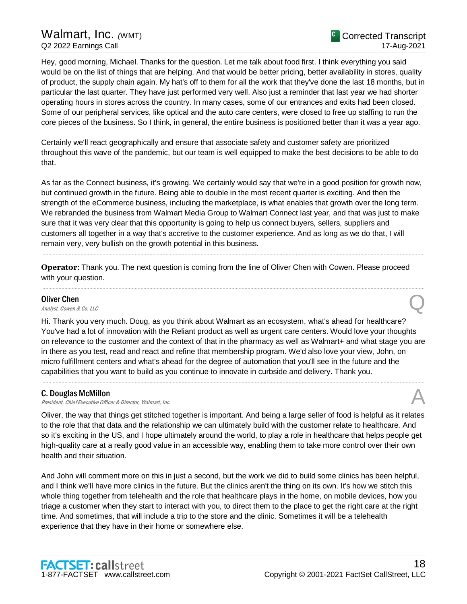Hey, good morning, Michael. Thanks for the question. Let me talk about food first. I think everything you said would be on the list of things that are helping. And that would be better pricing, better availability in stores, quality of product, the supply chain again. My hat's off to them for all the work that they've done the last 18 months, but in particular the last quarter. They have just performed very well. Also just a reminder that last year we had shorter operating hours in stores across the country. In many cases, some of our entrances and exits had been closed. Some of our peripheral services, like optical and the auto care centers, were closed to free up staffing to run the core pieces of the business. So I think, in general, the entire business is positioned better than it was a year ago.

Certainly we'll react geographically and ensure that associate safety and customer safety are prioritized throughout this wave of the pandemic, but our team is well equipped to make the best decisions to be able to do that.

As far as the Connect business, it's growing. We certainly would say that we're in a good position for growth now, but continued growth in the future. Being able to double in the most recent quarter is exciting. And then the strength of the eCommerce business, including the marketplace, is what enables that growth over the long term. We rebranded the business from Walmart Media Group to Walmart Connect last year, and that was just to make sure that it was very clear that this opportunity is going to help us connect buyers, sellers, suppliers and customers all together in a way that's accretive to the customer experience. And as long as we do that, I will remain very, very bullish on the growth potential in this business.

.....................................................................................................................................................................................................................................................................

.....................................................................................................................................................................................................................................................................

**Operator**: Thank you. The next question is coming from the line of Oliver Chen with Cowen. Please proceed with your question.

## Oliver Chen

**Oliver Chen**<br>Analyst, Cowen & Co. LLC

Hi. Thank you very much. Doug, as you think about Walmart as an ecosystem, what's ahead for healthcare? You've had a lot of innovation with the Reliant product as well as urgent care centers. Would love your thoughts on relevance to the customer and the context of that in the pharmacy as well as Walmart+ and what stage you are in there as you test, read and react and refine that membership program. We'd also love your view, John, on micro fulfillment centers and what's ahead for the degree of automation that you'll see in the future and the capabilities that you want to build as you continue to innovate in curbside and delivery. Thank you.

.....................................................................................................................................................................................................................................................................

## C. Douglas McMillon

President, Chief Executive Officer & Director, Walmart, Inc.

Oliver, the way that things get stitched together is important. And being a large seller of food is helpful as it relates to the role that that data and the relationship we can ultimately build with the customer relate to healthcare. And so it's exciting in the US, and I hope ultimately around the world, to play a role in healthcare that helps people get high-quality care at a really good value in an accessible way, enabling them to take more control over their own health and their situation.

And John will comment more on this in just a second, but the work we did to build some clinics has been helpful, and I think we'll have more clinics in the future. But the clinics aren't the thing on its own. It's how we stitch this whole thing together from telehealth and the role that healthcare plays in the home, on mobile devices, how you triage a customer when they start to interact with you, to direct them to the place to get the right care at the right time. And sometimes, that will include a trip to the store and the clinic. Sometimes it will be a telehealth experience that they have in their home or somewhere else.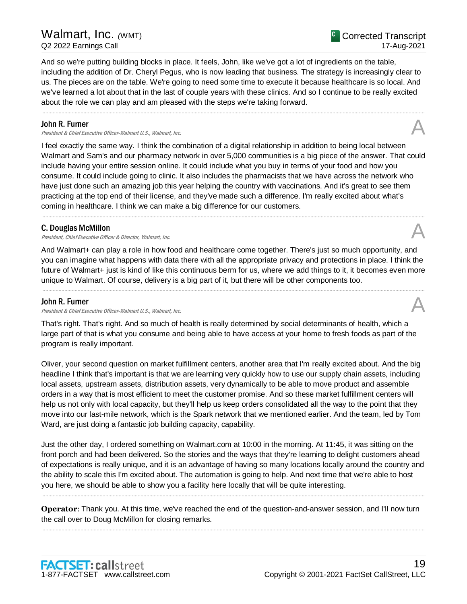Oliver, your second question on market fulfillment centers, another area that I'm really excited about. And the big headline I think that's important is that we are learning very quickly how to use our supply chain assets, including local assets, upstream assets, distribution assets, very dynamically to be able to move product and assemble orders in a way that is most efficient to meet the customer promise. And so these market fulfillment centers will help us not only with local capacity, but they'll help us keep orders consolidated all the way to the point that they move into our last-mile network, which is the Spark network that we mentioned earlier. And the team, led by Tom Ward, are just doing a fantastic job building capacity, capability.

Just the other day, I ordered something on Walmart.com at 10:00 in the morning. At 11:45, it was sitting on the front porch and had been delivered. So the stories and the ways that they're learning to delight customers ahead of expectations is really unique, and it is an advantage of having so many locations locally around the country and the ability to scale this I'm excited about. The automation is going to help. And next time that we're able to host you here, we should be able to show you a facility here locally that will be quite interesting.

.....................................................................................................................................................................................................................................................................

**Operator**: Thank you. At this time, we've reached the end of the question-and-answer session, and I'll now turn the call over to Doug McMillon for closing remarks.

.....................................................................................................................................................................................................................................................................

And so we're putting building blocks in place. It feels, John, like we've got a lot of ingredients on the table, including the addition of Dr. Cheryl Pegus, who is now leading that business. The strategy is increasingly clear to

# us. The pieces are on the table. We're going to need some time to execute it because healthcare is so local. And we've learned a lot about that in the last of couple years with these clinics. And so I continue to be really excited about the role we can play and am pleased with the steps we're taking forward.

.....................................................................................................................................................................................................................................................................

# John R. Furner

President & Chief Executive Officer-Walmart U.S., Walmart, Inc.

I feel exactly the same way. I think the combination of a digital relationship in addition to being local between Walmart and Sam's and our pharmacy network in over 5,000 communities is a big piece of the answer. That could include having your entire session online. It could include what you buy in terms of your food and how you consume. It could include going to clinic. It also includes the pharmacists that we have across the network who have just done such an amazing job this year helping the country with vaccinations. And it's great to see them practicing at the top end of their license, and they've made such a difference. I'm really excited about what's coming in healthcare. I think we can make a big difference for our customers.

.....................................................................................................................................................................................................................................................................

# C. Douglas McMillon

**C. Douglas McMillon**<br>President, Chief Executive Officer & Director, Walmart, Inc.  $\mathcal{A}$ 

And Walmart+ can play a role in how food and healthcare come together. There's just so much opportunity, and you can imagine what happens with data there with all the appropriate privacy and protections in place. I think the future of Walmart+ just is kind of like this continuous berm for us, where we add things to it, it becomes even more unique to Walmart. Of course, delivery is a big part of it, but there will be other components too.

.....................................................................................................................................................................................................................................................................

# John R. Furner

President & Chief Executive Officer-Walmart U.S., Walmart, Inc.

That's right. That's right. And so much of health is really determined by social determinants of health, which a large part of that is what you consume and being able to have access at your home to fresh foods as part of the program is really important.

**FACTSET: callstreet**